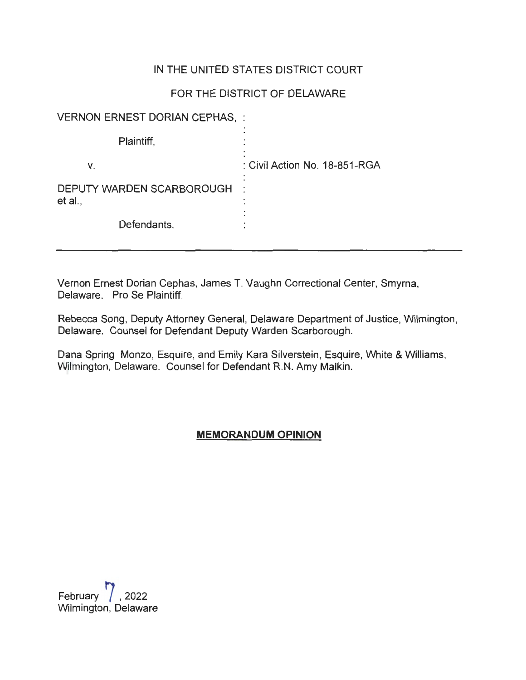### IN THE UNITED STATES DISTRICT COURT

# FOR THE DISTRICT OF DELAWARE

| <b>VERNON ERNEST DORIAN CEPHAS, :</b> |                               |
|---------------------------------------|-------------------------------|
| Plaintiff,                            |                               |
| V.                                    | : Civil Action No. 18-851-RGA |
| DEPUTY WARDEN SCARBOROUGH<br>et al.,  |                               |
| Defendants.                           |                               |

Vernon Ernest Dorian Cephas, James T. Vaughn Correctional Center, Smyrna, Delaware. Pro Se Plaintiff.

Rebecca Song, Deputy Attorney General, Delaware Department of Justice, Wilmington, Delaware. Counsel for Defendant Deputy Warden Scarborough.

Dana Spring Monzo, Esquire, and Emily Kara Silverstein, Esquire, White & Williams, Wilmington, Delaware. Counsel for Defendant R.N. Amy Malkin.

### **MEMORANDUM OPINION**

February **7** , <sup>2022</sup> Wilmington, Delaware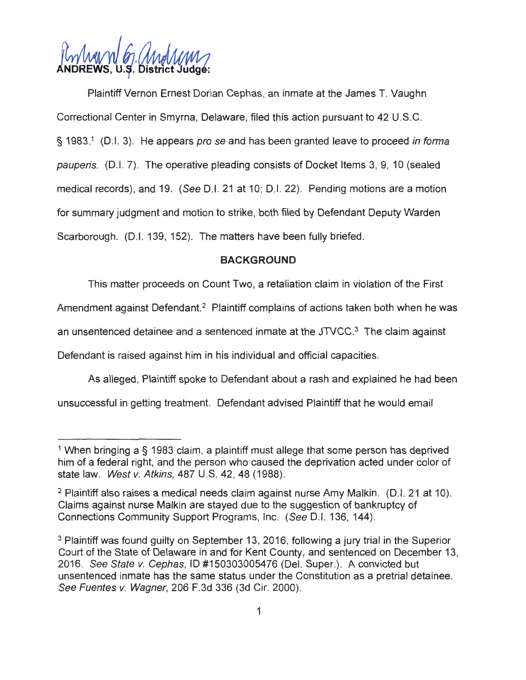A MAN M MyMMM

Plaintiff Vernon Ernest Dorian Cephas, an inmate at the James T. Vaughn Correctional Center in Smyrna, Delaware, filed this action pursuant to 42 U.S.C. § 1983.<sup>1</sup> (D.I. 3). He appears *pro se* and has been granted leave to proceed in forma pauperis. (0.1. 7). The operative pleading consists of Docket Items 3, 9, 10 (sealed medical records), and 19. (See D.I. 21 at 10; D.I. 22). Pending motions are a motion for summary judgment and motion to strike, both filed by Defendant Deputy Warden Scarborough. (D.I. 139, 152). The matters have been fully briefed.

#### **BACKGROUND**

This matter proceeds on Count Two, a retaliation claim in violation of the First

Amendment against Defendant.<sup>2</sup> Plaintiff complains of actions taken both when he was

an unsentenced detainee and a sentenced inmate at the JTVCC. 3 The claim against

Defendant is raised against him in his individual and official capacities.

As alleged , Plaintiff spoke to Defendant about a rash and explained he had been unsuccessful in getting treatment. Defendant advised Plaintiff that he would email

<sup>&</sup>lt;sup>1</sup> When bringing a § 1983 claim, a plaintiff must allege that some person has deprived him of a federal right, and the person who caused the deprivation acted under color of state law. West v. Atkins, 487 U.S. 42, 48 (1988).

 $2$  Plaintiff also raises a medical needs claim against nurse Amy Malkin. (D.I. 21 at 10). Claims against nurse Malkin are stayed due to the suggestion of bankruptcy of Connections Community Support Programs, Inc. (See 0 .1. 136, 144).

<sup>&</sup>lt;sup>3</sup> Plaintiff was found guilty on September 13, 2016, following a jury trial in the Superior Court of the State of Delaware in and for Kent County, and sentenced on December 13, 2016. See State v. Cephas, ID #150303005476 (Del. Super.). A convicted but unsentenced inmate has the same status under the Constitution as a pretrial detainee. See Fuentes v. Wagner, 206 F.3d 336 (3d Cir. 2000).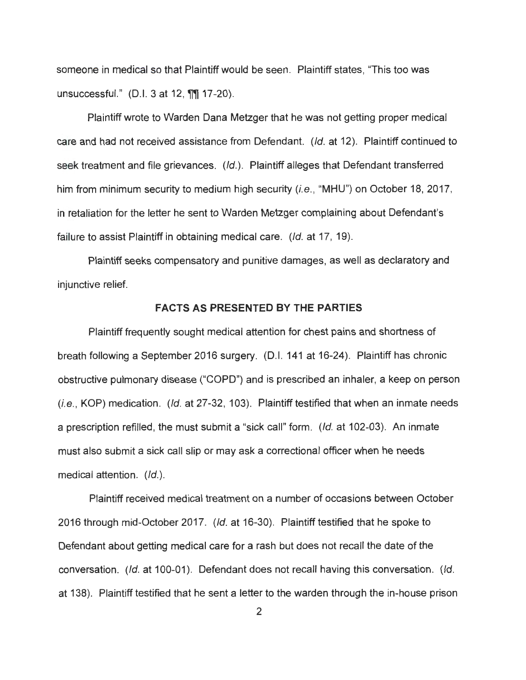someone in medical so that Plaintiff would be seen. Plaintiff states, "This too was unsuccessful." (0.1. 3 at 12, **ffll** 17-20).

Plaintiff wrote to Warden Dana Metzger that he was not getting proper medical care and had not received assistance from Defendant. (/d. at 12). Plaintiff continued to seek treatment and file grievances. (Id.). Plaintiff alleges that Defendant transferred him from minimum security to medium high security (*i.e.*, "MHU") on October 18, 2017, in retaliation for the letter he sent to Warden Metzger complaining about Defendant's failure to assist Plaintiff in obtaining medical care. (*Id.* at 17, 19).

Plaintiff seeks compensatory and punitive damages, as well as declaratory and injunctive relief.

#### **FACTS AS PRESENTED BY THE PARTIES**

Plaintiff frequently sought medical attention for chest pains and shortness of breath following a September 2016 surgery. (0.1. 141 at 16-24). Plaintiff has chronic obstructive pulmonary disease ("COPD") and is prescribed an inhaler, a keep on person  $(i.e., KOP)$  medication.  $(id. at 27-32, 103)$ . Plaintiff testified that when an inmate needs a prescription refilled, the must submit a "sick call" form. (Id. at 102-03). An inmate must also submit a sick call slip or may ask a correctional officer when he needs medical attention. (Id.).

Plaintiff received medical treatment on a number of occasions between October 2016 through mid-October 2017. (/d. at 16-30). Plaintiff testified that he spoke to Defendant about getting medical care for a rash but does not recall the date of the conversation. (Id. at 100-01). Defendant does not recall having this conversation. (Id. at 138). Plaintiff testified that he sent a letter to the warden through the in-house prison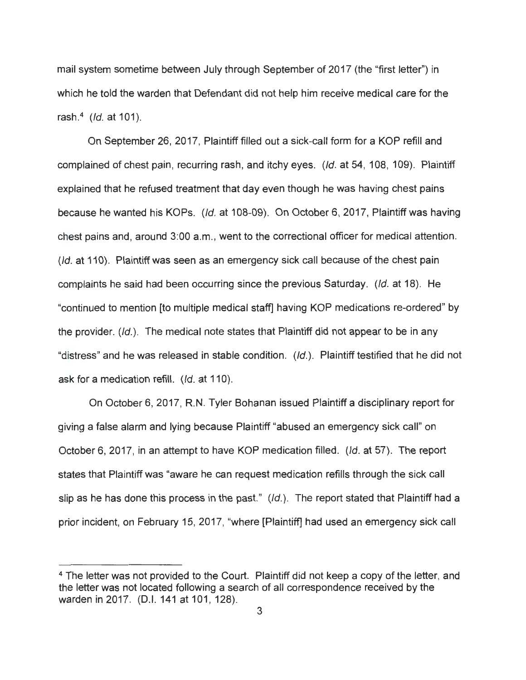mail system sometime between July through September of 2017 (the "first letter") in which he told the warden that Defendant did not help him receive medical care for the rash.<sup>4</sup> *(Id.* at 101).

On September 26, 2017, Plaintiff filled out a sick-call form for a KOP refill and complained of chest pain, recurring rash, and itchy eyes. (*Id.* at 54, 108, 109). Plaintiff explained that he refused treatment that day even though he was having chest pains because he wanted his KOPs. (Id. at 108-09). On October 6, 2017, Plaintiff was having chest pains and, around 3:00 a.m., went to the correctional officer for medical attention. (*Id.* at 110). Plaintiff was seen as an emergency sick call because of the chest pain complaints he said had been occurring since the previous Saturday. (Id. at 18). He "continued to mention [to multiple medical staff] having KOP medications re-ordered" by the provider. (Id.). The medical note states that Plaintiff did not appear to be in any "distress" and he was released in stable condition. (Id.). Plaintiff testified that he did not ask for a medication refill. (*Id.* at 110).

On October 6, 2017, R.N. Tyler Bohanan issued Plaintiff a disciplinary report for giving a false alarm and lying because Plaintiff "abused an emergency sick call" on October 6, 2017, in an attempt to have KOP medication filled. (Id. at 57). The report states that Plaintiff was "aware he can request medication refills through the sick call slip as he has done this process in the past."  $(Id.)$ . The report stated that Plaintiff had a prior incident, on February 15, 2017, "where [Plaintiff] had used an emergency sick call

<sup>4</sup> The letter was not provided to the Court. Plaintiff did not keep a copy of the letter, and the letter was not located following a search of all correspondence received by the warden in 2017. (D.I. 141 at 101, 128).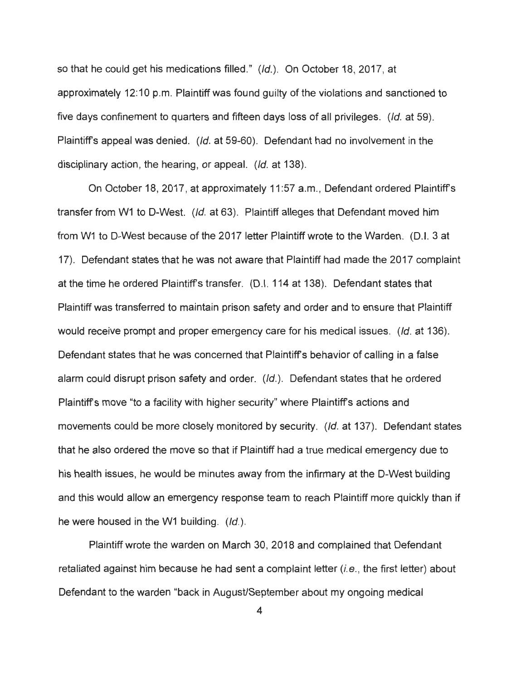so that he could get his medications filled." (Id.). On October 18, 2017, at approximately 12: 10 p.m. Plaintiff was found guilty of the violations and sanctioned to five days confinement to quarters and fifteen days loss of all privileges. (Id. at 59). Plaintiffs appeal was denied. (Id. at 59-60). Defendant had no involvement in the disciplinary action, the hearing, or appeal. (Id. at 138).

On October 18, 2017, at approximately 11 :57 a.m., Defendant ordered Plaintiffs transfer from W1 to O-West. (Id. at 63). Plaintiff alleges that Defendant moved him from W1 to D-West because of the 2017 letter Plaintiff wrote to the Warden. (D.I. 3 at 17). Defendant states that he was not aware that Plaintiff had made the 2017 complaint at the time he ordered Plaintiffs transfer. (0.1. 114 at 138). Defendant states that Plaintiff was transferred to maintain prison safety and order and to ensure that Plaintiff would receive prompt and proper emergency care for his medical issues. (Id. at 136). Defendant states that he was concerned that Plaintiffs behavior of calling in a false alarm could disrupt prison safety and order. (/d.). Defendant states that he ordered Plaintiffs move "to a facility with higher security" where Plaintiffs actions and movements could be more closely monitored by security. (Id. at 137). Defendant states that he also ordered the move so that if Plaintiff had a true medical emergency due to his health issues, he would be minutes away from the infirmary at the O-West building and this would allow an emergency response team to reach Plaintiff more quickly than if he were housed in the W1 building. (Id.).

Plaintiff wrote the warden on March 30, 2018 and complained that Defendant retaliated against him because he had sent a complaint letter  $(i.e.,$  the first letter) about Defendant to the warden "back in August/September about my ongoing medical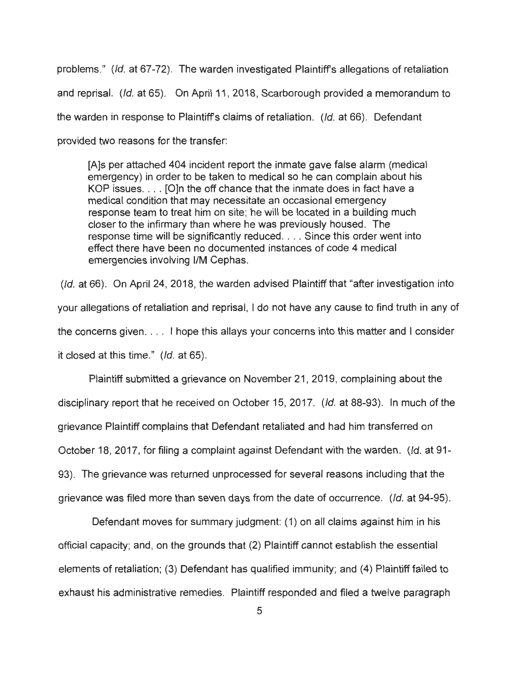problems." (Id. at 67-72). The warden investigated Plaintiffs allegations of retaliation and reprisal. (Id. at 65). On April 11 , 2018, Scarborough provided a memorandum to the warden in response to Plaintiffs claims of retaliation. (Id. at 66). Defendant provided two reasons for the transfer:

[A]s per attached 404 incident report the inmate gave false alarm (medical emergency) in order to be taken to medical so he can complain about his KOP issues. . . . [O]n the off chance that the inmate does in fact have a medical condition that may necessitate an occasional emergency response team to treat him on site; he will be located in a building much closer to the infirmary than where he was previously housed. The response time will be significantly reduced. . . . Since this order went into effect there have been no documented instances of code 4 medical emergencies involving I/M Cephas.

(Id. at 66). On April 24, 2018, the warden advised Plaintiff that "after investigation into your allegations of retaliation and reprisal, I do not have any cause to find truth in any of the concerns given ... . I hope this allays your concerns into this matter and I consider it closed at this time." (Id. at 65).

Plaintiff submitted a grievance on November 21 , 2019, complaining about the disciplinary report that he received on October 15, 2017. (Id. at 88-93). In much of the grievance Plaintiff complains that Defendant retaliated and had him transferred on October 18, 2017, for filing a complaint against Defendant with the warden. (Id. at 91-93). The grievance was returned unprocessed for several reasons including that the grievance was filed more than seven days from the date of occurrence. (Id. at 94-95).

Defendant moves for summary judgment: (1) on all claims against him in his official capacity; and, on the grounds that (2) Plaintiff cannot establish the essential elements of retaliation; (3) Defendant has qualified immunity; and (4) Plaintiff failed to exhaust his administrative remedies. Plaintiff responded and filed a twelve paragraph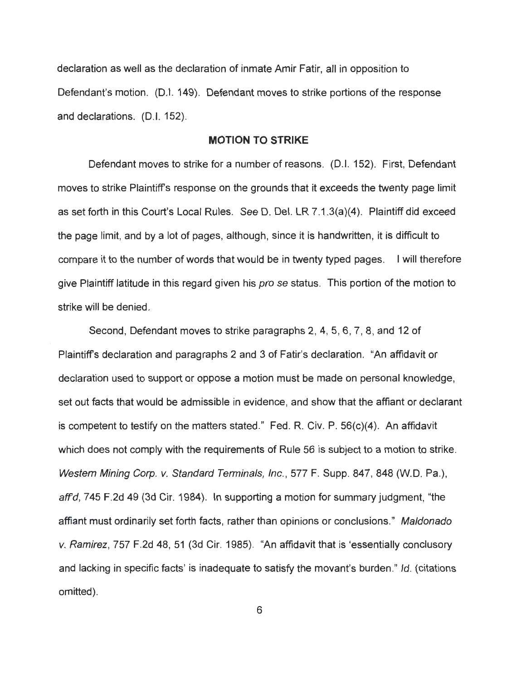declaration as well as the declaration of inmate Amir Fatir, all in opposition to Defendant's motion. (D.I. 149). Defendant moves to strike portions of the response and declarations. (D.I. 152).

#### **MOTION TO STRIKE**

Defendant moves to strike for a number of reasons. (0.1. 152). First, Defendant moves to strike Plaintiff's response on the grounds that it exceeds the twenty page limit as set forth in this Court's Local Rules. See D. Del. LR 7.1.3(a)(4). Plaintiff did exceed the page limit, and by a lot of pages, although, since it is handwritten, it is difficult to compare it to the number of words that would be in twenty typed pages. I will therefore give Plaintiff latitude in this regard given his *pro se* status. This portion of the motion to strike will be denied.

Second, Defendant moves to strike paragraphs 2, 4, 5, 6, 7, 8, and 12 of Plaintiff's declaration and paragraphs 2 and 3 of Fatir's declaration. "An affidavit or declaration used to support or oppose a motion must be made on personal knowledge, set out facts that would be admissible in evidence, and show that the affiant or declarant is competent to testify on the matters stated." Fed. R. Civ. P. 56(c)(4). An affidavit which does not comply with the requirements of Rule 56 is subject to a motion to strike. Western Mining Corp. v. Standard Terminals, Inc., 577 F. Supp. 847, 848 (W.D. Pa.), affd, 745 F.2d 49 (3d Cir. 1984). In supporting a motion for summary judgment, "the affiant must ordinarily set forth facts, rather than opinions or conclusions." Maldonado v. Ramirez, 757 F.2d 48, 51 (3d Cir. 1985). "An affidavit that is 'essentially conclusory and lacking in specific facts' is inadequate to satisfy the movant's burden." Id. (citations omitted).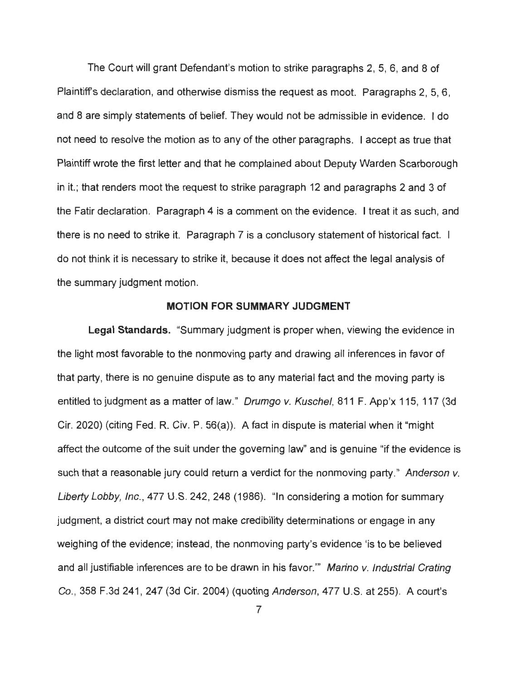The Court will grant Defendant's motion to strike paragraphs 2, 5, 6, and 8 of Plaintiffs declaration, and otherwise dismiss the request as moot. Paragraphs 2, 5, 6, and 8 are simply statements of belief. They would not be admissible in evidence. I do not need to resolve the motion as to any of the other paragraphs. I accept as true that Plaintiff wrote the first letter and that he complained about Deputy Warden Scarborough in it.; that renders moot the request to strike paragraph 12 and paragraphs 2 and 3 of the Fatir declaration. Paragraph 4 is a comment on the evidence. I treat it as such, and there is no need to strike it. Paragraph 7 is a conclusory statement of historical fact. I do not think it is necessary to strike it, because it does not affect the legal analysis of the summary judgment motion.

#### **MOTION FOR SUMMARY JUDGMENT**

Legal Standards. "Summary judgment is proper when, viewing the evidence in the light most favorable to the nonmoving party and drawing all inferences in favor of that party, there is no genuine dispute as to any material fact and the moving party is entitled to judgment as a matter of law." Drumgo v. Kuschel, 811 F. App'x 115, 117 (3d Cir. 2020) (citing Fed. R. Civ. P. 56(a)). A fact in dispute is material when it "might affect the outcome of the suit under the governing law" and is genuine "if the evidence is such that a reasonable jury could return a verdict for the nonmoving party." Anderson v. Liberty Lobby, Inc., 477 U.S. 242, 248 (1986). "In considering a motion for summary judgment, a district court may not make credibility determinations or engage in any weighing of the evidence; instead, the nonmoving party's evidence 'is to be believed and all justifiable inferences are to be drawn in his favor."" Marino v. Industrial Crating Co. , 358 F.3d 241 , 247 (3d Cir. 2004) (quoting Anderson, 477 U.S. at 255). A court's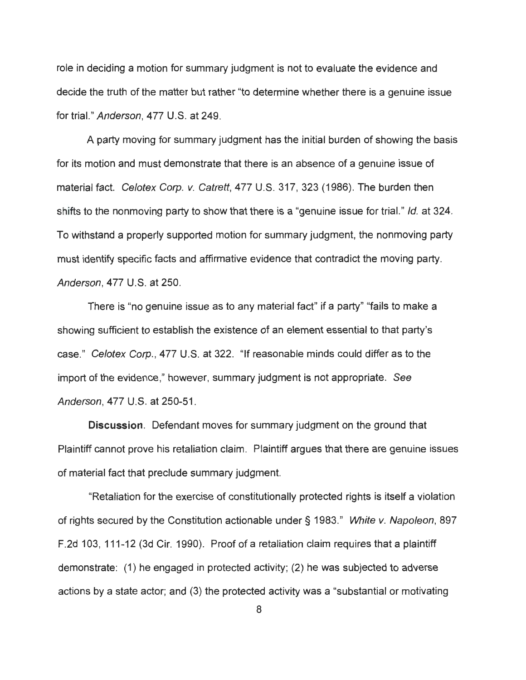role in deciding a motion for summary judgment is not to evaluate the evidence and decide the truth of the matter but rather "to determine whether there is a genuine issue for trial." Anderson, 477 U.S. at 249.

A party moving for summary judgment has the initial burden of showing the basis for its motion and must demonstrate that there is an absence of a genuine issue of material fact. Celotex Corp. v. Catrett, 477 U.S. 317, 323 (1986). The burden then shifts to the nonmoving party to show that there is a "genuine issue for trial." Id. at 324. To withstand a properly supported motion for summary judgment, the nonmoving party must identify specific facts and affirmative evidence that contradict the moving party. Anderson, 477 U.S. at 250.

There is "no genuine issue as to any material fact" if a party" "fails to make a showing sufficient to establish the existence of an element essential to that party's case." Celotex Corp., 477 U.S. at 322. "If reasonable minds could differ as to the import of the evidence," however, summary judgment is not appropriate. See Anderson, 477 U.S. at 250-51 .

**Discussion.** Defendant moves for summary judgment on the ground that Plaintiff cannot prove his retaliation claim. Plaintiff argues that there are genuine issues of material fact that preclude summary judgment.

"Retaliation for the exercise of constitutionally protected rights is itself a violation of rights secured by the Constitution actionable under§ 1983." White v. Napoleon, 897 F .2d 103, 111-12 (3d Cir. 1990). Proof of a retaliation claim requires that a plaintiff demonstrate: (1) he engaged in protected activity; (2) he was subjected to adverse actions by a state actor; and (3) the protected activity was a "substantial or motivating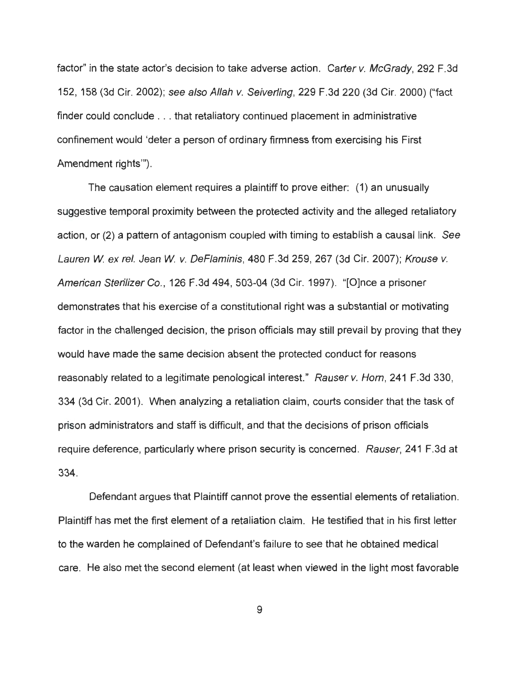factor" in the state actor's decision to take adverse action. Carter v. McGrady, 292 F.3d 152, 158 (3d Cir. 2002); see also Allah v. Seiverling, 229 F.3d 220 (3d Cir. 2000) ("fact finder could conclude ... that retaliatory continued placement in administrative confinement would 'deter a person of ordinary firmness from exercising his First Amendment rights"').

The causation element requires a plaintiff to prove either: (1) an unusually suggestive temporal proximity between the protected activity and the alleged retaliatory action, or (2) a pattern of antagonism coupled with timing to establish a causal link. See Lauren W. ex rel. Jean W. v. DeFlaminis, 480 F.3d 259, 267 (3d Cir. 2007); Krouse v. American Sterilizer Co. , 126 F.3d 494, 503-04 (3d Cir. 1997). "[O]nce a prisoner demonstrates that his exercise of a constitutional right was a substantial or motivating factor in the challenged decision, the prison officials may still prevail by proving that they would have made the same decision absent the protected conduct for reasons reasonably related to a legitimate penological interest." Rauser v. Horn, 241 F.3d 330, 334 (3d Cir. 2001). When analyzing a retaliation claim, courts consider that the task of prison administrators and staff is difficult, and that the decisions of prison officials require deference, particularly where prison security is concerned. Rauser, 241 F.3d at 334.

Defendant argues that Plaintiff cannot prove the essential elements of retaliation. Plaintiff has met the first element of a retaliation claim. He testified that in his first letter to the warden he complained of Defendant's failure to see that he obtained medical care. He also met the second element (at least when viewed in the light most favorable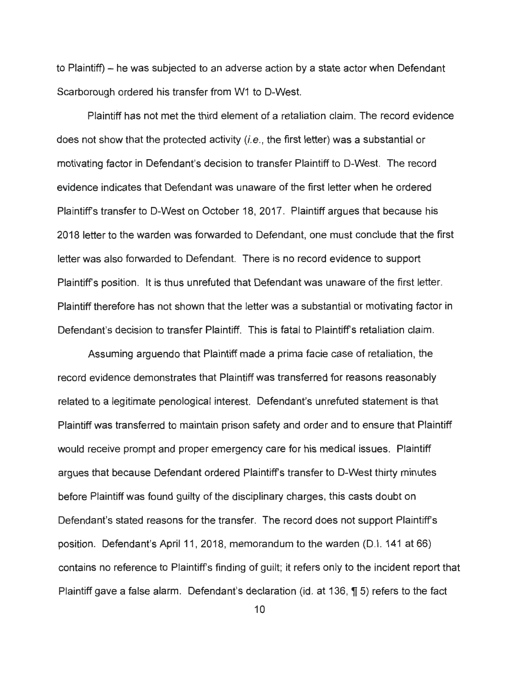to Plaintiff) – he was subjected to an adverse action by a state actor when Defendant Scarborough ordered his transfer from W1 to D-West.

Plaintiff has not met the third element of a retaliation claim. The record evidence does not show that the protected activity (i.e. , the first letter) was a substantial or motivating factor in Defendant's decision to transfer Plaintiff to D-West. The record evidence indicates that Defendant was unaware of the first letter when he ordered Plaintiffs transfer to D-West on October 18, 2017. Plaintiff argues that because his 2018 letter to the warden was forwarded to Defendant, one must conclude that the first letter was also forwarded to Defendant. There is no record evidence to support Plaintiffs position. It is thus unrefuted that Defendant was unaware of the first letter. Plaintiff therefore has not shown that the letter was a substantial or motivating factor in Defendant's decision to transfer Plaintiff. This is fatal to Plaintiffs retaliation claim.

Assuming arguendo that Plaintiff made a prima facie case of retaliation, the record evidence demonstrates that Plaintiff was transferred for reasons reasonably related to a legitimate penological interest. Defendant's unrefuted statement is that Plaintiff was transferred to maintain prison safety and order and to ensure that Plaintiff would receive prompt and proper emergency care for his medical issues. Plaintiff argues that because Defendant ordered Plaintiffs transfer to D-West thirty minutes before Plaintiff was found guilty of the disciplinary charges, this casts doubt on Defendant's stated reasons for the transfer. The record does not support Plaintiffs position. Defendant's April 11 , 2018, memorandum to the warden (0.1. 141 at 66) contains no reference to Plaintiffs finding of guilt; it refers only to the incident report that Plaintiff gave a false alarm. Defendant's declaration (id. at 136,  $\eta$  5) refers to the fact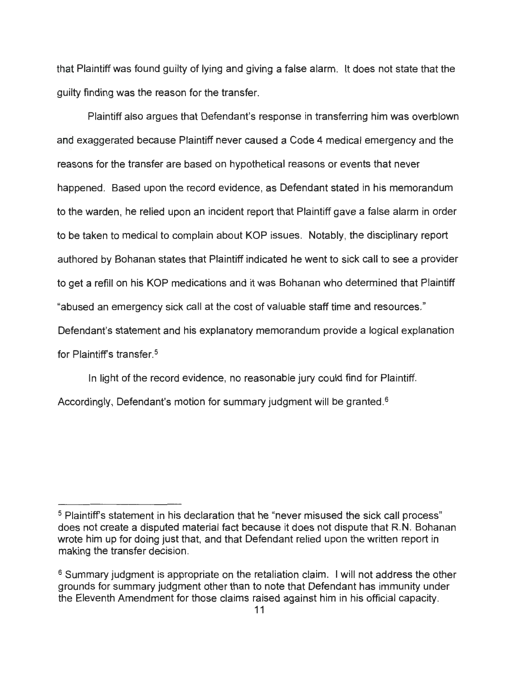that Plaintiff was found guilty of lying and giving a false alarm. It does not state that the guilty finding was the reason for the transfer.

Plaintiff also argues that Defendant's response in transferring him was overblown and exaggerated because Plaintiff never caused a Code 4 medical emergency and the reasons for the transfer are based on hypothetical reasons or events that never happened. Based upon the record evidence, as Defendant stated in his memorandum to the warden, he relied upon an incident report that Plaintiff gave a false alarm in order to be taken to medical to complain about KOP issues. Notably, the disciplinary report authored by Bohanan states that Plaintiff indicated he went to sick call to see a provider to get a refill on his KOP medications and it was Bohanan who determined that Plaintiff "abused an emergency sick call at the cost of valuable staff time and resources." Defendant's statement and his explanatory memorandum provide a logical explanation for Plaintiff's transfer.<sup>5</sup>

In light of the record evidence, no reasonable jury could find for Plaintiff. Accordingly, Defendant's motion for summary judgment will be granted. 6

<sup>&</sup>lt;sup>5</sup> Plaintiff's statement in his declaration that he "never misused the sick call process" does not create a disputed material fact because it does not dispute that R.N. Bohanan wrote him up for doing just that, and that Defendant relied upon the written report in making the transfer decision.

<sup>&</sup>lt;sup>6</sup> Summary judgment is appropriate on the retaliation claim. I will not address the other grounds for summary judgment other than to note that Defendant has immunity under the Eleventh Amendment for those claims raised against him in his official capacity.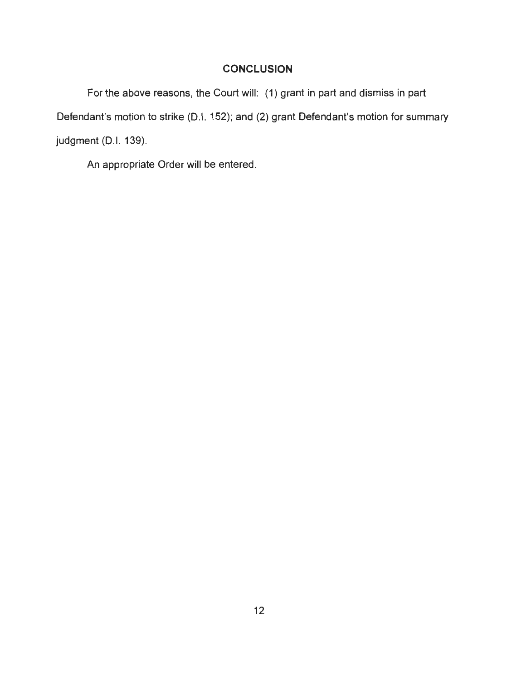## **CONCLUSION**

For the above reasons, the Court will: (1) grant in part and dismiss in part Defendant's motion to strike (D.I. 152); and (2) grant Defendant's motion for summary judgment (D.I. 139).

An appropriate Order will be entered.